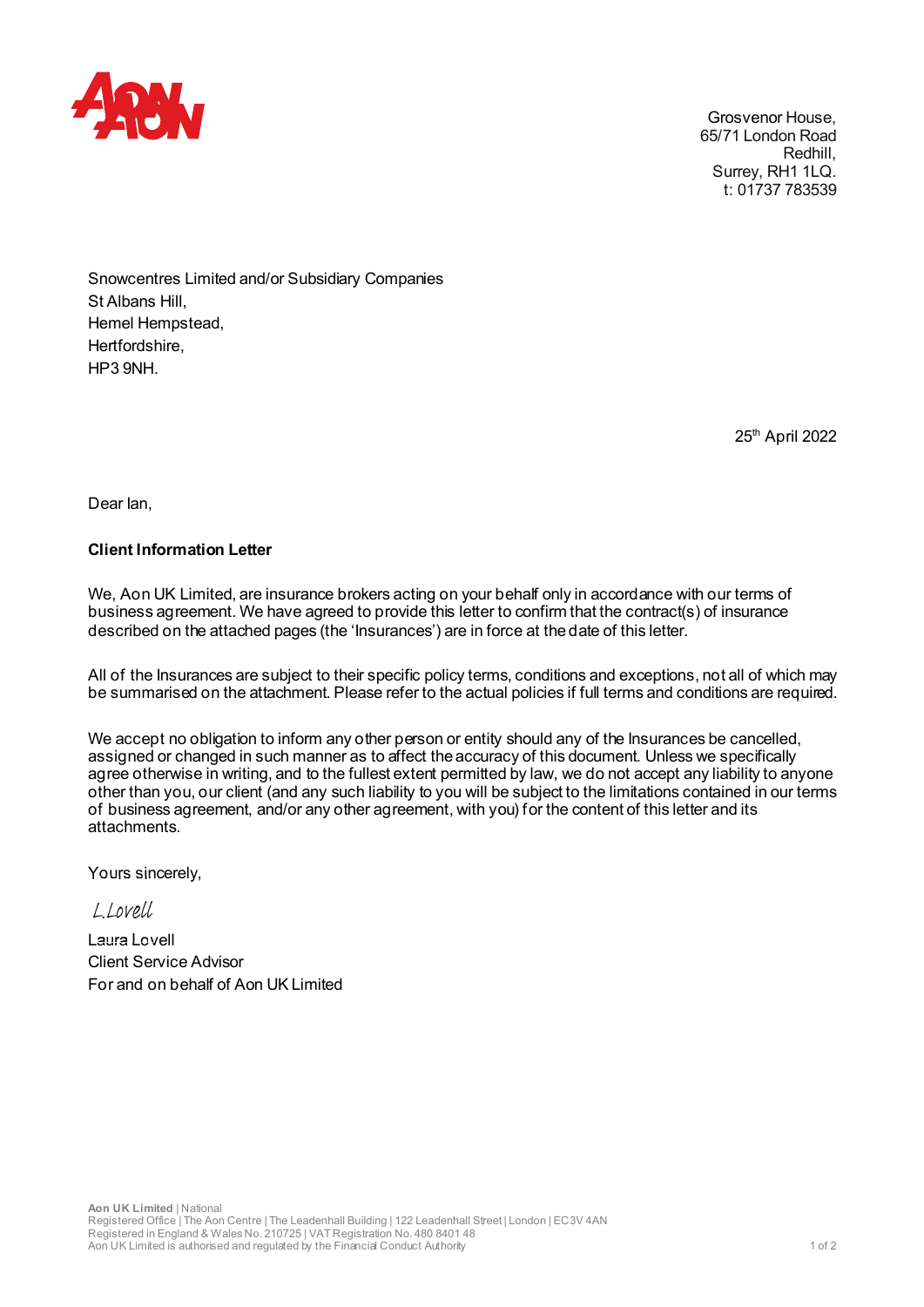

Grosvenor House, 65/71 London Road Redhill, Surrey, RH1 1LQ. t: 01737 783539

Snowcentres Limited and/or Subsidiary Companies St Albans Hill, Hemel Hempstead, Hertfordshire, HP3 9NH.

25th April 2022

Dear Ian,

## Client Information Letter

We, Aon UK Limited, are insurance brokers acting on your behalf only in accordance with our terms of business agreement. We have agreed to provide this letter to confirm that the contract(s) of insurance Showcentres Limited and/or Subsidiary Comparies<br>Business and Hempstead,<br>Hertfordshire,<br>HP3 9NH.<br>Distribusiness are also also a provide this letter of the confirm that the contract with our terms of<br>business agreement. We h described on the attached pages (the 'Insurances') are in force at the date of this letter.

All of the Insurances are subject to their specific policy terms, conditions and exceptions, not all of which may<br>be summarised on the attachment. Please refer to the actual policies if full terms and conditions are requir

St Albans Hill,<br>Herfordshire,<br>Herfordshire,<br>HP3 9NH.<br>We, Aon UK Limited, are insurance brokers acting on your behalf only in accordance with our terms of<br>business agreement. We have agreed to provide this letter to confirm Hertfordshire,<br>HP3 9NH.<br>
25<sup>th</sup> April 2022<br>
Dear lan,<br>
We, Aon UK Limited, are insurance brokers acting on your behalf only in accordance with our terms of<br>
business agreement. We have agreed to provide this letter to conf assigned or changed in such manner as to affect the accuracy of this document. Unless we specifically agree otherwise in writing, and to the fullest extent permitted by law, we do not accept any liability to anyone other than you, our client (and any such liability to you will be subject to the limitations contained in our terms of business agreement, and/or any other agreement, with you) for the content of this letter and its attachments.

Yours sincerely,

 $1$  lovell

Laura Lovell Client Service Advisor For and on behalf of Aon UK Limited